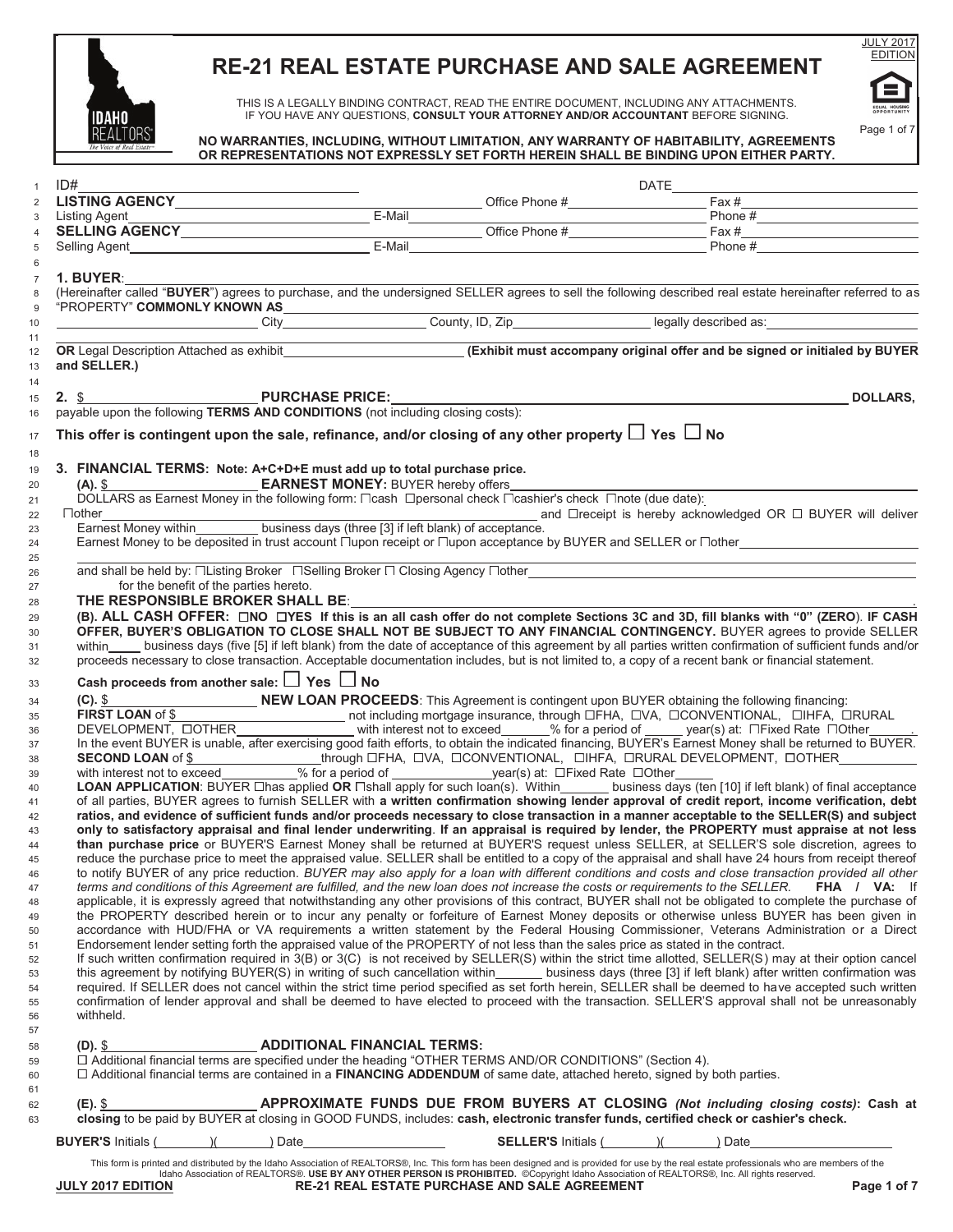

# **RE-21 REAL ESTATE PURCHASE AND SALE AGREEMENT**

THIS IS A LEGALLY BINDING CONTRACT, READ THE ENTIRE DOCUMENT, INCLUDING ANY ATTACHMENTS. IF YOU HAVE ANY QUESTIONS, **CONSULT YOUR ATTORNEY AND/OR ACCOUNTANT** BEFORE SIGNING.



## **NO WARRANTIES, INCLUDING, WITHOUT LIMITATION, ANY WARRANTY OF HABITABILITY, AGREEMENTS OR REPRESENTATIONS NOT EXPRESSLY SET FORTH HEREIN SHALL BE BINDING UPON EITHER PARTY.**

| ID#                                                                                                                                                                                                                                                                                       |                                    |                              | DATE____ |                                                                                            |
|-------------------------------------------------------------------------------------------------------------------------------------------------------------------------------------------------------------------------------------------------------------------------------------------|------------------------------------|------------------------------|----------|--------------------------------------------------------------------------------------------|
|                                                                                                                                                                                                                                                                                           |                                    |                              |          |                                                                                            |
|                                                                                                                                                                                                                                                                                           |                                    |                              |          |                                                                                            |
|                                                                                                                                                                                                                                                                                           |                                    |                              |          |                                                                                            |
|                                                                                                                                                                                                                                                                                           |                                    |                              |          |                                                                                            |
| 1. BUYER:                                                                                                                                                                                                                                                                                 |                                    |                              |          |                                                                                            |
| (Hereinafter called "BUYER") agrees to purchase, and the undersigned SELLER agrees to sell the following described real estate hereinafter referred to as                                                                                                                                 |                                    |                              |          |                                                                                            |
| "PROPERTY" COMMONLY KNOWN AS                                                                                                                                                                                                                                                              |                                    |                              |          |                                                                                            |
|                                                                                                                                                                                                                                                                                           |                                    |                              |          |                                                                                            |
| OR Legal Description Attached as exhibit<br>(Exhibit must accompany original offer and be signed or initialed by BUYER                                                                                                                                                                    |                                    |                              |          |                                                                                            |
|                                                                                                                                                                                                                                                                                           |                                    |                              |          |                                                                                            |
| and SELLER.)                                                                                                                                                                                                                                                                              |                                    |                              |          |                                                                                            |
|                                                                                                                                                                                                                                                                                           |                                    |                              |          |                                                                                            |
| 2. \$<br>payable upon the following TERMS AND CONDITIONS (not including closing costs):                                                                                                                                                                                                   |                                    |                              |          | <b>DOLLARS.</b>                                                                            |
|                                                                                                                                                                                                                                                                                           |                                    |                              |          |                                                                                            |
| This offer is contingent upon the sale, refinance, and/or closing of any other property $\Box$ Yes $\Box$ No                                                                                                                                                                              |                                    |                              |          |                                                                                            |
|                                                                                                                                                                                                                                                                                           |                                    |                              |          |                                                                                            |
| 3. FINANCIAL TERMS: Note: A+C+D+E must add up to total purchase price.                                                                                                                                                                                                                    |                                    |                              |          |                                                                                            |
|                                                                                                                                                                                                                                                                                           |                                    |                              |          |                                                                                            |
| DOLLARS as Earnest Money in the following form: □cash □personal check □cashier's check □note (due date):                                                                                                                                                                                  |                                    |                              |          |                                                                                            |
| other_________________________business days (three [3] if left blank) of acceptance.<br>Earnest Money within___________ business days (three [3] if left blank) of acceptance.<br>$\Box$ other                                                                                            |                                    |                              |          |                                                                                            |
|                                                                                                                                                                                                                                                                                           |                                    |                              |          |                                                                                            |
|                                                                                                                                                                                                                                                                                           |                                    |                              |          |                                                                                            |
|                                                                                                                                                                                                                                                                                           |                                    |                              |          |                                                                                            |
| for the benefit of the parties hereto.                                                                                                                                                                                                                                                    |                                    |                              |          |                                                                                            |
| THE RESPONSIBLE BROKER SHALL BE: University of the RESPONSIBLE BROKER SHALL BE:                                                                                                                                                                                                           |                                    |                              |          |                                                                                            |
| (B). ALL CASH OFFER: □NO □YES If this is an all cash offer do not complete Sections 3C and 3D, fill blanks with "0" (ZERO). IF CASH                                                                                                                                                       |                                    |                              |          |                                                                                            |
| OFFER, BUYER'S OBLIGATION TO CLOSE SHALL NOT BE SUBJECT TO ANY FINANCIAL CONTINGENCY. BUYER agrees to provide SELLER                                                                                                                                                                      |                                    |                              |          |                                                                                            |
| within business days (five [5] if left blank) from the date of acceptance of this agreement by all parties written confirmation of sufficient funds and/or                                                                                                                                |                                    |                              |          |                                                                                            |
| proceeds necessary to close transaction. Acceptable documentation includes, but is not limited to, a copy of a recent bank or financial statement.                                                                                                                                        |                                    |                              |          |                                                                                            |
| Cash proceeds from another sale: $\Box$ Yes $\Box$ No                                                                                                                                                                                                                                     |                                    |                              |          |                                                                                            |
|                                                                                                                                                                                                                                                                                           |                                    |                              |          |                                                                                            |
| <b>COMPROCEEDS:</b> This Agreement is contingent upon BUYER obtaining the following financing:<br>FIRST LOAN of \$ NEW LOAN PROCEEDS: This Agreement is contingent upon BUYER obtaining the following financing:<br>DEVELOPMENT, OOTHER                                                   |                                    |                              |          |                                                                                            |
|                                                                                                                                                                                                                                                                                           |                                    |                              |          |                                                                                            |
| In the event BUYER is unable, after exercising good faith efforts, to obtain the indicated financing, BUYER's Earnest Money shall be returned to BUYER.                                                                                                                                   |                                    |                              |          |                                                                                            |
|                                                                                                                                                                                                                                                                                           |                                    |                              |          |                                                                                            |
| SECOND LOAN of \$__________________through ⊡FHA, □VA, □CONVENTIONAL, □IHFA, □RURAL DEVELOPMENT, □OTHER________________<br>with interest not to exceed_________% for a period of _______________year(s) at: □Fixed Rate □Other____                                                         |                                    |                              |          |                                                                                            |
| LOAN APPLICATION: BUYER Lihas applied OR Lishall apply for such loan(s). Within business days (ten [10] if left blank) of final acceptance                                                                                                                                                |                                    |                              |          |                                                                                            |
| of all parties, BUYER agrees to furnish SELLER with a written confirmation showing lender approval of credit report, income verification, debt                                                                                                                                            |                                    |                              |          |                                                                                            |
| ratios, and evidence of sufficient funds and/or proceeds necessary to close transaction in a manner acceptable to the SELLER(S) and subject                                                                                                                                               |                                    |                              |          |                                                                                            |
| only to satisfactory appraisal and final lender underwriting. If an appraisal is required by lender, the PROPERTY must appraise at not less                                                                                                                                               |                                    |                              |          |                                                                                            |
| than purchase price or BUYER'S Earnest Money shall be returned at BUYER'S request unless SELLER, at SELLER'S sole discretion, agrees to                                                                                                                                                   |                                    |                              |          |                                                                                            |
| reduce the purchase price to meet the appraised value. SELLER shall be entitled to a copy of the appraisal and shall have 24 hours from receipt thereof                                                                                                                                   |                                    |                              |          |                                                                                            |
| to notify BUYER of any price reduction. BUYER may also apply for a loan with different conditions and costs and close transaction provided all other<br>terms and conditions of this Agreement are fulfilled, and the new loan does not increase the costs or requirements to the SELLER. |                                    |                              |          | FHA / VA: If                                                                               |
| applicable, it is expressly agreed that notwithstanding any other provisions of this contract, BUYER shall not be obligated to complete the purchase of                                                                                                                                   |                                    |                              |          |                                                                                            |
| the PROPERTY described herein or to incur any penalty or forfeiture of Earnest Money deposits or otherwise unless BUYER has been given in                                                                                                                                                 |                                    |                              |          |                                                                                            |
| accordance with HUD/FHA or VA requirements a written statement by the Federal Housing Commissioner, Veterans Administration or a Direct                                                                                                                                                   |                                    |                              |          |                                                                                            |
| Endorsement lender setting forth the appraised value of the PROPERTY of not less than the sales price as stated in the contract.                                                                                                                                                          |                                    |                              |          |                                                                                            |
| If such written confirmation required in 3(B) or 3(C) is not received by SELLER(S) within the strict time allotted, SELLER(S) may at their option cancel                                                                                                                                  |                                    |                              |          |                                                                                            |
| this agreement by notifying BUYER(S) in writing of such cancellation within ______ business days (three [3] if left blank) after written confirmation was                                                                                                                                 |                                    |                              |          |                                                                                            |
| required. If SELLER does not cancel within the strict time period specified as set forth herein, SELLER shall be deemed to have accepted such written                                                                                                                                     |                                    |                              |          |                                                                                            |
| confirmation of lender approval and shall be deemed to have elected to proceed with the transaction. SELLER'S approval shall not be unreasonably                                                                                                                                          |                                    |                              |          |                                                                                            |
| withheld.                                                                                                                                                                                                                                                                                 |                                    |                              |          |                                                                                            |
|                                                                                                                                                                                                                                                                                           | <b>ADDITIONAL FINANCIAL TERMS:</b> |                              |          |                                                                                            |
|                                                                                                                                                                                                                                                                                           |                                    |                              |          |                                                                                            |
| $(D).$ \$                                                                                                                                                                                                                                                                                 |                                    |                              |          |                                                                                            |
| □ Additional financial terms are specified under the heading "OTHER TERMS AND/OR CONDITIONS" (Section 4).                                                                                                                                                                                 |                                    |                              |          |                                                                                            |
| $\Box$ Additional financial terms are contained in a FINANCING ADDENDUM of same date, attached hereto, signed by both parties.                                                                                                                                                            |                                    |                              |          |                                                                                            |
|                                                                                                                                                                                                                                                                                           |                                    |                              |          |                                                                                            |
| (E). \$                                                                                                                                                                                                                                                                                   |                                    |                              |          | <b>APPROXIMATE FUNDS DUE FROM BUYERS AT CLOSING (Not including closing costs): Cash at</b> |
| closing to be paid by BUYER at closing in GOOD FUNDS, includes: cash, electronic transfer funds, certified check or cashier's check.<br><b>BUYER'S Initials (</b> ) (<br>) Date                                                                                                           |                                    | <b>SELLER'S Initials (</b> ) |          | ) Date                                                                                     |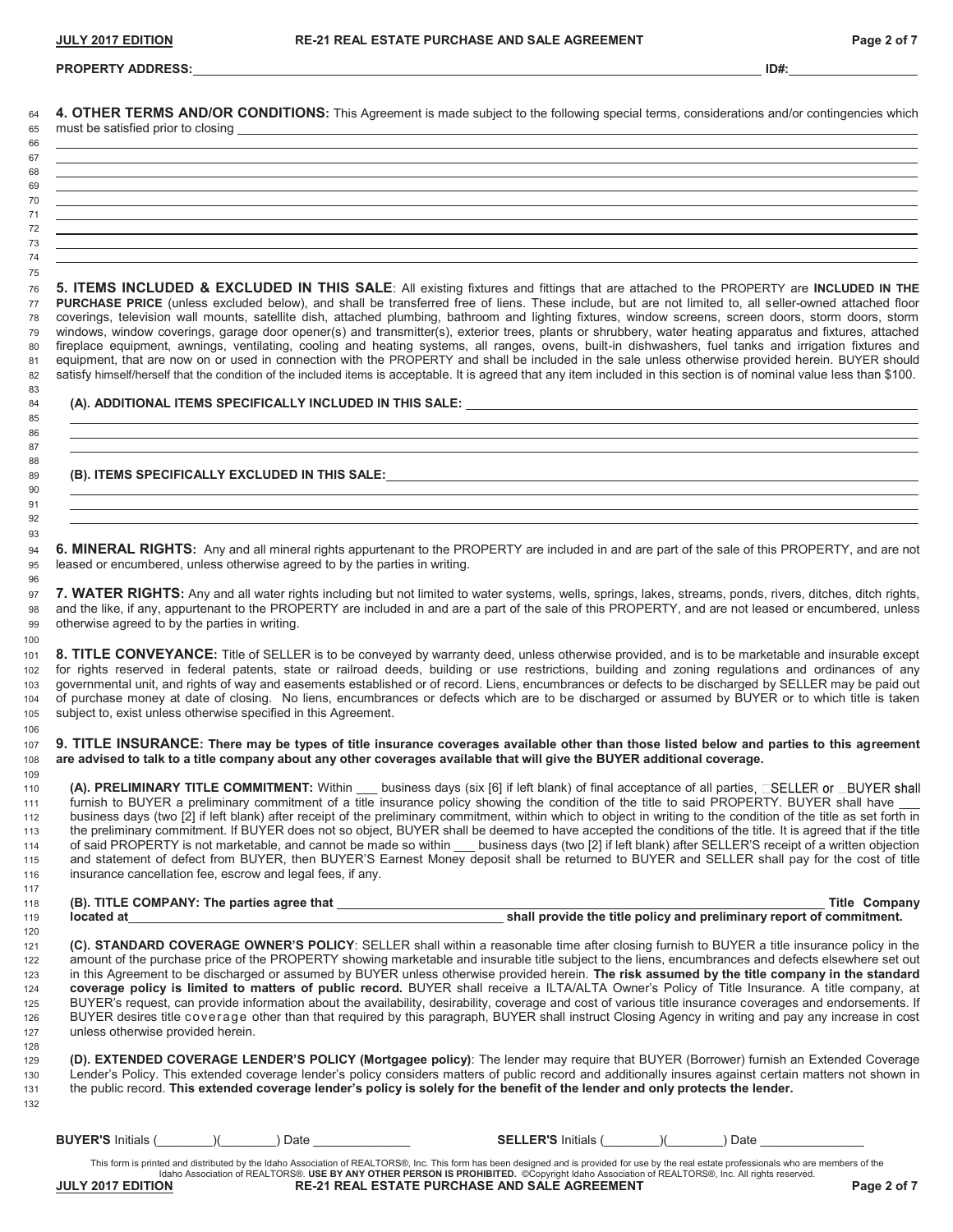#### **PROPERTY ADDRESS: ID#:**

**4. OTHER TERMS AND/OR CONDITIONS:** This Agreement is made subject to the following special terms, considerations and/or contingencies which

| 66 |  |
|----|--|
| 67 |  |
| 68 |  |
| 69 |  |
| 70 |  |
| 71 |  |
| 72 |  |
| 73 |  |
| 74 |  |

**5. ITEMS INCLUDED & EXCLUDED IN THIS SALE**: All existing fixtures and fittings that are attached to the PROPERTY are **INCLUDED IN THE PURCHASE PRICE** (unless excluded below), and shall be transferred free of liens. These include, but are not limited to, all seller-owned attached floor coverings, television wall mounts, satellite dish, attached plumbing, bathroom and lighting fixtures, window screens, screen doors, storm doors, storm windows, window coverings, garage door opener(s) and transmitter(s), exterior trees, plants or shrubbery, water heating apparatus and fixtures, attached fireplace equipment, awnings, ventilating, cooling and heating systems, all ranges, ovens, built-in dishwashers, fuel tanks and irrigation fixtures and 81 equipment, that are now on or used in connection with the PROPERTY and shall be included in the sale unless otherwise provided herein. BUYER should 82 satisfy himself/herself that the condition of the included items is acceptable. It is agreed that any item included in this section is of nominal value less than \$100.

#### **(A). ADDITIONAL ITEMS SPECIFICALLY INCLUDED IN THIS SALE:**

**(B). ITEMS SPECIFICALLY EXCLUDED IN THIS SALE:**

**6. MINERAL RIGHTS:** Any and all mineral rights appurtenant to the PROPERTY are included in and are part of the sale of this PROPERTY, and are not leased or encumbered, unless otherwise agreed to by the parties in writing. 

**7. WATER RIGHTS:** Any and all water rights including but not limited to water systems, wells, springs, lakes, streams, ponds, rivers, ditches, ditch rights, and the like, if any, appurtenant to the PROPERTY are included in and are a part of the sale of this PROPERTY, and are not leased or encumbered, unless otherwise agreed to by the parties in writing.

**8. TITLE CONVEYANCE:** Title of SELLER is to be conveyed by warranty deed, unless otherwise provided, and is to be marketable and insurable except for rights reserved in federal patents, state or railroad deeds, building or use restrictions, building and zoning regulations and ordinances of any governmental unit, and rights of way and easements established or of record. Liens, encumbrances or defects to be discharged by SELLER may be paid out of purchase money at date of closing. No liens, encumbrances or defects which are to be discharged or assumed by BUYER or to which title is taken subject to, exist unless otherwise specified in this Agreement.

**9. TITLE INSURANCE: There may be types of title insurance coverages available other than those listed below and parties to this agreement are advised to talk to a title company about any other coverages available that will give the BUYER additional coverage.**

**(A). PRELIMINARY TITLE COMMITMENT:** Within \_\_\_ business days (six [6] if left blank) of final acceptance of all parties, CSELLER or CBUYER shall furnish to BUYER a preliminary commitment of a title insurance policy showing the condition of the title to said PROPERTY. BUYER shall have \_\_\_ business days (two [2] if left blank) after receipt of the preliminary commitment, within which to object in writing to the condition of the title as set forth in the preliminary commitment. If BUYER does not so object, BUYER shall be deemed to have accepted the conditions of the title. It is agreed that if the title of said PROPERTY is not marketable, and cannot be made so within \_\_\_ business days (two [2] if left blank) after SELLER'S receipt of a written objection and statement of defect from BUYER, then BUYER'S Earnest Money deposit shall be returned to BUYER and SELLER shall pay for the cost of title insurance cancellation fee, escrow and legal fees, if any.

| 118 | (B). TITLE COMPANY: The parties agree that | Гitle                                                               | Companv |
|-----|--------------------------------------------|---------------------------------------------------------------------|---------|
| 110 | te hotenol                                 | chall provide the title policy and preliminary report of commitment |         |

**located at shall provide the title policy and preliminary report of commitment.** 

**(C). STANDARD COVERAGE OWNER'S POLICY**: SELLER shall within a reasonable time after closing furnish to BUYER a title insurance policy in the amount of the purchase price of the PROPERTY showing marketable and insurable title subject to the liens, encumbrances and defects elsewhere set out in this Agreement to be discharged or assumed by BUYER unless otherwise provided herein. **The risk assumed by the title company in the standard coverage policy is limited to matters of public record.** BUYER shall receive a ILTA/ALTA Owner's Policy of Title Insurance. A title company, at BUYER's request, can provide information about the availability, desirability, coverage and cost of various title insurance coverages and endorsements. If BUYER desires title coverage other than that required by this paragraph, BUYER shall instruct Closing Agency in writing and pay any increase in cost unless otherwise provided herein.

**(D). EXTENDED COVERAGE LENDER'S POLICY (Mortgagee policy)**: The lender may require that BUYER (Borrower) furnish an Extended Coverage Lender's Policy. This extended coverage lender's policy considers matters of public record and additionally insures against certain matters not shown in the public record. **This extended coverage lender's policy is solely for the benefit of the lender and only protects the lender.**  

|  | <b>BUYER'S Initials (</b> |  |  | ) Date |
|--|---------------------------|--|--|--------|
|--|---------------------------|--|--|--------|

**SELLER'S** Initials (\_\_\_\_\_\_\_\_\_\_)(\_\_\_\_\_\_\_\_\_\_\_\_) Date \_

This form is printed and distributed by the Idaho Association of REALTORS®, Inc. This form has been designed and is provided for use by the real estate professionals who are members of the Idaho Association of REALTORS®. **USE BY ANY OTHER PERSON IS PROHIBITED.** ©Copyright Idaho Association of REALTORS®, Inc. All rights reserved. **RE-21 REAL ESTATE PURCHASE AND SALE AGREEMENT PAGE 2 of 7** Page 2 of 7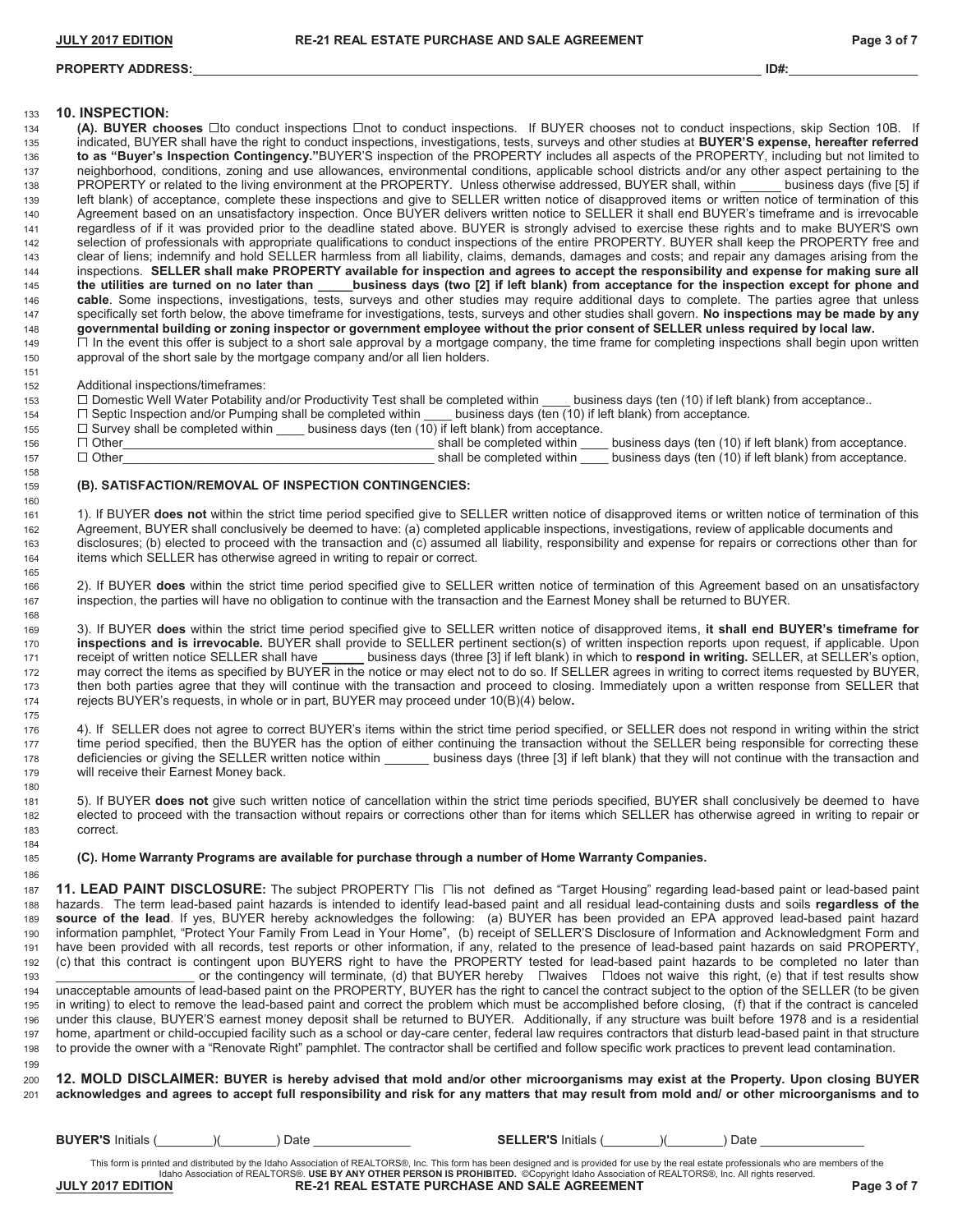# **PROPERTY ADDRESS: ID#:**

# **10. INSPECTION:**

134 (A). **BUYER chooses**  $\square$ to conduct inspections  $\square$ not to conduct inspections. If BUYER chooses not to conduct inspections, skip Section 10B. If indicated, BUYER shall have the right to conduct inspections, investigations, tests, surveys and other studies at **BUYER'S expense, hereafter referred to as "Buyer's Inspection Contingency."**BUYER'S inspection of the PROPERTY includes all aspects of the PROPERTY, including but not limited to neighborhood, conditions, zoning and use allowances, environmental conditions, applicable school districts and/or any other aspect pertaining to the 138 PROPERTY or related to the living environment at the PROPERTY. Unless otherwise addressed, BUYER shall, within \_\_\_\_\_\_ business days (five [5] if left blank) of acceptance, complete these inspections and give to SELLER written notice of disapproved items or written notice of termination of this Agreement based on an unsatisfactory inspection. Once BUYER delivers written notice to SELLER it shall end BUYER's timeframe and is irrevocable regardless of if it was provided prior to the deadline stated above. BUYER is strongly advised to exercise these rights and to make BUYER'S own selection of professionals with appropriate qualifications to conduct inspections of the entire PROPERTY. BUYER shall keep the PROPERTY free and clear of liens; indemnify and hold SELLER harmless from all liability, claims, demands, damages and costs; and repair any damages arising from the 144<br>144 inspections SELLER shall make PROPERTY available for inspection and inspections. **SELLER shall make PROPERTY available for inspection and agrees to accept the responsibility and expense for making sure all the utilities are turned on no later than \_\_\_\_\_business days (two [2] if left blank) from acceptance for the inspection except for phone and** cable. Some inspections, investigations, tests, surveys and other studies may require additional days to complete. The parties agree that unless and the studies of the parties agree that unless and the studies shall dovern specifically set forth below, the above timeframe for investigations, tests, surveys and other studies shall govern. No inspections may be made by any **governmental building or zoning inspector or government employee without the prior consent of SELLER unless required by local law.** 149 □ In the event this offer is subject to a short sale approval by a mortgage company, the time frame for completing inspections shall begin upon written approval of the short sale by the mortgage company and/or all lien holders.

Additional inspections/timeframes:

153 □ Domestic Well Water Potability and/or Productivity Test shall be completed within \_\_\_\_ business days (ten (10) if left blank) from acceptance..

154  $\Box$  Septic Inspection and/or Pumping shall be completed within \_\_\_\_ business days (ten (10) if left blank) from acceptance.<br>155  $\Box$  Survey shall be completed within business days (ten (10) if left blank) from accept

155  $\square$  Survey shall be completed within business days (ten  $(10)$  if left blank) from acceptance.

| 156 | Other |  |  | shall be completed within | business days (ten (10) if left blank) from acceptance. |
|-----|-------|--|--|---------------------------|---------------------------------------------------------|
| 157 | Other |  |  | shall be completed within | business days (ten (10) if left blank) from acceptance. |
| 158 |       |  |  |                           |                                                         |

#### **(B). SATISFACTION/REMOVAL OF INSPECTION CONTINGENCIES:**

1). If BUYER **does not** within the strict time period specified give to SELLER written notice of disapproved items or written notice of termination of this Agreement, BUYER shall conclusively be deemed to have: (a) completed applicable inspections, investigations, review of applicable documents and disclosures; (b) elected to proceed with the transaction and (c) assumed all liability, responsibility and expense for repairs or corrections other than for items which SELLER has otherwise agreed in writing to repair or correct.

2). If BUYER **does** within the strict time period specified give to SELLER written notice of termination of this Agreement based on an unsatisfactory inspection, the parties will have no obligation to continue with the transaction and the Earnest Money shall be returned to BUYER.

3). If BUYER **does** within the strict time period specified give to SELLER written notice of disapproved items, **it shall end BUYER's timeframe for inspections and is irrevocable.** BUYER shall provide to SELLER pertinent section(s) of written inspection reports upon request, if applicable. Upon 171 receipt of written notice SELLER shall have business days (three [3] if left blank) in which to **respond in writing.** SELLER, at SELLER's option, may correct the items as specified by BUYER in the notice or may elect not to do so. If SELLER agrees in writing to correct items requested by BUYER, then both parties agree that they will continue with the transaction and proceed to closing. Immediately upon a written response from SELLER that rejects BUYER's requests, in whole or in part, BUYER may proceed under 10(B)(4) below**.**  

4). If SELLER does not agree to correct BUYER's items within the strict time period specified, or SELLER does not respond in writing within the strict 177 time period specified, then the BUYER has the option of either continuing the transaction without the SELLER being responsible for correcting these 178 deficiencies or giving the SELLER written notice within \_\_\_\_\_\_ business days (three [3] if left blank) that they will not continue with the transaction and will receive their Earnest Money back.

5). If BUYER **does not** give such written notice of cancellation within the strict time periods specified, BUYER shall conclusively be deemed to have elected to proceed with the transaction without repairs or corrections other than for items which SELLER has otherwise agreed in writing to repair or correct.

**(C). Home Warranty Programs are available for purchase through a number of Home Warranty Companies.** 

187 11. LEAD PAINT DISCLOSURE: The subject PROPERTY Lis Lis not defined as "Target Housing" regarding lead-based paint or lead-based paint hazards. The term lead-based paint hazards is intended to identify lead-based paint and all residual lead-containing dusts and soils **regardless of the source of the lead**. If yes, BUYER hereby acknowledges the following: (a) BUYER has been provided an EPA approved lead-based paint hazard information pamphlet, "Protect Your Family From Lead in Your Home", (b) receipt of SELLER'S Disclosure of Information and Acknowledgment Form and have been provided with all records, test reports or other information, if any, related to the presence of lead-based paint hazards on said PROPERTY, (c) that this contract is contingent upon BUYERS right to have the PROPERTY tested for lead-based paint hazards to be completed no later than 193 \_\_\_\_\_\_\_\_\_\_\_\_\_\_\_\_\_\_\_\_\_\_\_\_\_\_\_\_\_\_\_\_or the contingency will terminate, (d) that BUYER hereby  $\quad$  ⊡waives  $\quad$  ⊡does not waive this right, (e) that if test results show unacceptable amounts of lead-based paint on the PROPERTY, BUYER has the right to cancel the contract subject to the option of the SELLER (to be given in writing) to elect to remove the lead-based paint and correct the problem which must be accomplished before closing, (f) that if the contract is canceled under this clause, BUYER'S earnest money deposit shall be returned to BUYER. Additionally, if any structure was built before 1978 and is a residential home, apartment or child-occupied facility such as a school or day-care center, federal law requires contractors that disturb lead-based paint in that structure to provide the owner with a "Renovate Right" pamphlet. The contractor shall be certified and follow specific work practices to prevent lead contamination. 

**12. MOLD DISCLAIMER: BUYER is hereby advised that mold and/or other microorganisms may exist at the Property. Upon closing BUYER acknowledges and agrees to accept full responsibility and risk for any matters that may result from mold and/ or other microorganisms and to**

**BUYER'S** Initials (\_\_\_\_\_\_\_\_)(\_\_\_\_\_\_\_\_) Date \_\_\_\_\_\_\_\_\_\_\_\_\_\_ **SELLER'S** Initials (\_\_\_\_\_\_\_\_)(\_\_\_\_\_\_\_\_) Date \_\_\_\_\_\_\_\_\_\_\_\_\_\_\_

This form is printed and distributed by the Idaho Association of REALTORS®, Inc. This form has been designed and is provided for use by the real estate professionals who are members of the Idaho Association of REALTORS®. **USE BY ANY OTHER PERSON IS PROHIBITED.** ©Copyright Idaho Association of REALTORS®, Inc. All rights reserved. **JULY 2018 RE-21 REAL ESTATE PURCHASE AND SALE AGREEMENT PAGE 2017 Page 3 of 7**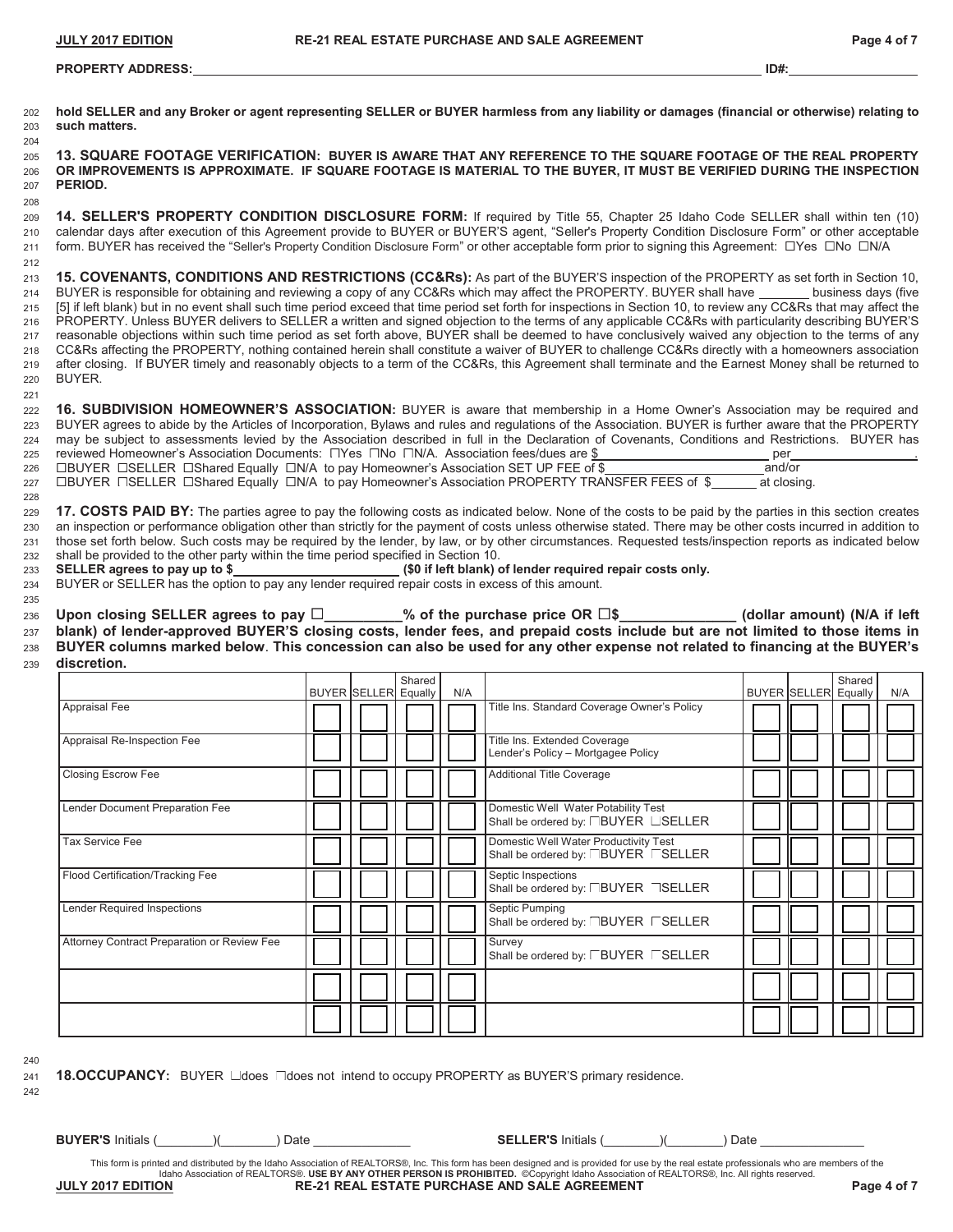#### **PROPERTY ADDRESS: ID#:**

202 **hold SELLER and any Broker or agent representing SELLER or BUYER harmless from any liability or damages (financial or otherwise) relating to**  203 **such matters.** 

<sup>205</sup>**13. SQUARE FOOTAGE VERIFICATION: BUYER IS AWARE THAT ANY REFERENCE TO THE SQUARE FOOTAGE OF THE REAL PROPERTY** 206 **OR IMPROVEMENTS IS APPROXIMATE. IF SQUARE FOOTAGE IS MATERIAL TO THE BUYER, IT MUST BE VERIFIED DURING THE INSPECTION** 207 **PERIOD.**

<sup>209</sup>**14. SELLER'S PROPERTY CONDITION DISCLOSURE FORM:** If required by Title 55, Chapter 25 Idaho Code SELLER shall within ten (10) 210 calendar days after execution of this Agreement provide to BUYER or BUYER'S agent, "Seller's Property Condition Disclosure Form" or other acceptable 211 form. BUYER has received the "Seller's Property Condition Disclosure Form" or other acceptable form prior to signing this Agreement:  $\Box$ Yes  $\Box$ No  $\Box$ N/A 212

**15. COVENANTS, CONDITIONS AND RESTRICTIONS (CC&Rs):** As part of the BUYER'S inspection of the PROPERTY as set forth in Section 10, 214 BUYER is responsible for obtaining and reviewing a copy of any CC&Rs which may affect the PROPERTY. BUYER shall have \_\_\_\_\_\_\_\_ business days (five 215 [5] if left blank) but in no event shall such time period exceed that time period set forth for inspections in Section 10, to review any CC&Rs that may affect the PROPERTY. Unless BUYER delivers to SELLER a written and signed objection to the terms of any applicable CC&Rs with particularity describing BUYER'S reasonable objections within such time period as set forth above, BUYER shall be deemed to have conclusively waived any objection to the terms of any CC&Rs affecting the PROPERTY, nothing contained herein shall constitute a waiver of BUYER to challenge CC&Rs directly with a homeowners association after closing. If BUYER timely and reasonably objects to a term of the CC&Rs, this Agreement shall terminate and the Earnest Money shall be returned to 220 BUYER.

| 222 16. SUBDIVISION HOMEOWNER'S ASSOCIATION: BUYER is aware that membership in a Home Owner's Association may be required and                             |  |
|-----------------------------------------------------------------------------------------------------------------------------------------------------------|--|
| 223 BUYER agrees to abide by the Articles of Incorporation, Bylaws and rules and regulations of the Association. BUYER is further aware that the PROPERTY |  |
| 224 may be subject to assessments levied by the Association described in full in the Declaration of Covenants, Conditions and Restrictions. BUYER has     |  |
| 225 reviewed Homeowner's Association Documents: $\square$ Yes $\square$ No $\square$ N/A. Association fees/dues are \$<br>per                             |  |
| 226 □BUYER □SELLER □Shared Equally □N/A to pay Homeowner's Association SET UP FEE of \$<br>and/or                                                         |  |

227 □BUYER □SELLER □Shared Equally □N/A to pay Homeowner's Association PROPERTY TRANSFER FEES of \$ \_\_\_\_\_ at closing.

**17. COSTS PAID BY:** The parties agree to pay the following costs as indicated below. None of the costs to be paid by the parties in this section creates an inspection or performance obligation other than strictly for the payment of costs unless otherwise stated. There may be other costs incurred in addition to those set forth below. Such costs may be required by the lender, by law, or by other circumstances. Requested tests/inspection reports as indicated below shall be provided to the other party within the time period specified in Section 10.

233 **SELLER agrees to pay up to \$ (\$0 if left blank) of lender required repair costs only.**

234 BUYER or SELLER has the option to pay any lender required repair costs in excess of this amount.

235

204

208

221

228

236 Upon closing SELLER agrees to pay □\_\_\_\_\_\_\_\_\_% of the purchase price OR □\$\_\_\_\_\_\_\_\_\_\_\_\_\_\_\_ (dollar amount) (N/A if left <sup>237</sup>**blank) of lender-approved BUYER'S closing costs, lender fees, and prepaid costs include but are not limited to those items in**  <sup>238</sup>**BUYER columns marked below**. **This concession can also be used for any other expense not related to financing at the BUYER's** 

<sup>239</sup>**discretion.**

|                                             | <b>BUYER SELLER Equally</b> | Shared | N/A |                                                                              | <b>BUYER SELLER Equally</b> | Shared | N/A |
|---------------------------------------------|-----------------------------|--------|-----|------------------------------------------------------------------------------|-----------------------------|--------|-----|
| Appraisal Fee                               |                             |        |     | Title Ins. Standard Coverage Owner's Policy                                  |                             |        |     |
| Appraisal Re-Inspection Fee                 |                             |        |     | Title Ins. Extended Coverage<br>Lender's Policy - Mortgagee Policy           |                             |        |     |
| Closing Escrow Fee                          |                             |        |     | <b>Additional Title Coverage</b>                                             |                             |        |     |
| Lender Document Preparation Fee             |                             |        |     | Domestic Well Water Potability Test<br>Shall be ordered by: FBUYER LSELLER   |                             |        |     |
| <b>Tax Service Fee</b>                      |                             |        |     | Domestic Well Water Productivity Test<br>Shall be ordered by: JBUYER LSELLER |                             |        |     |
| Flood Certification/Tracking Fee            |                             |        |     | Septic Inspections<br>Shall be ordered by: FBUYER TSELLER                    |                             |        |     |
| Lender Required Inspections                 |                             |        |     | Septic Pumping<br>Shall be ordered by: TBUYER FSELLER                        |                             |        |     |
| Attorney Contract Preparation or Review Fee |                             |        |     | Survey<br>Shall be ordered by: LBUYER LSELLER                                |                             |        |     |
|                                             |                             |        |     |                                                                              |                             |        |     |
|                                             |                             |        |     |                                                                              |                             |        |     |

240 242

241 **18.OCCUPANCY**: BUYER does does not intend to occupy PROPERTY as BUYER'S primary residence.

**BUYER'S** Initials (  $\qquad$  ) (  $\qquad$  ) Date  $\qquad$  **SELLER'S** Initials (  $\qquad$  ) Date

This form is printed and distributed by the Idaho Association of REALTORS®, Inc. This form has been designed and is provided for use by the real estate professionals who are members of the Idaho Association of REALTORS®. **USE BY ANY OTHER PERSON IS PROHIBITED.** ©Copyright Idaho Association of REALTORS®, Inc. All rights reserved. **JULY 2017 EDITION RE-21 REAL ESTATE PURCHASE AND SALE AGREEMENT Page 4 of 7**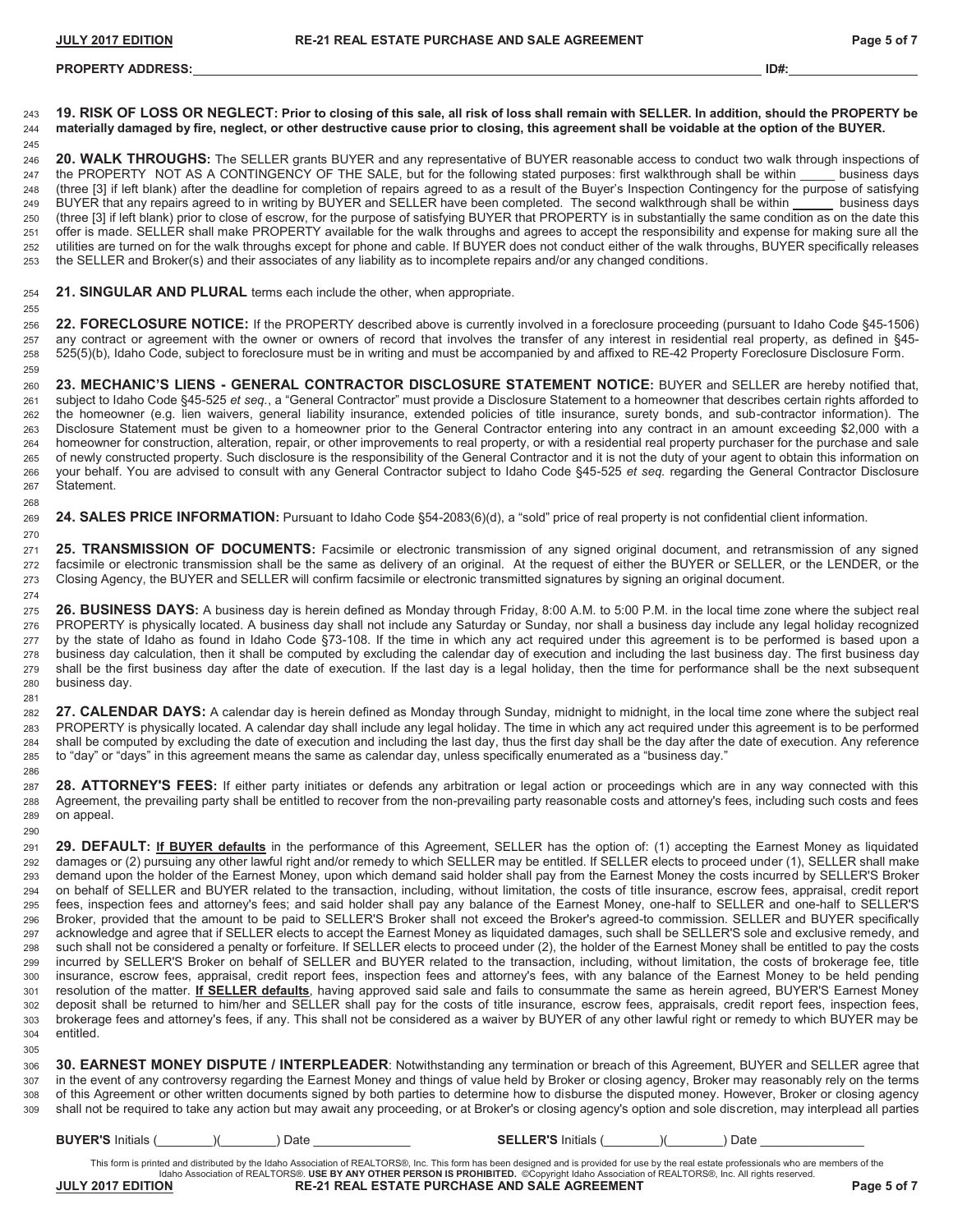# **PROPERTY ADDRESS: ID#:**

**19. RISK OF LOSS OR NEGLECT: Prior to closing of this sale, all risk of loss shall remain with SELLER. In addition, should the PROPERTY be materially damaged by fire, neglect, or other destructive cause prior to closing, this agreement shall be voidable at the option of the BUYER. 20. WALK THROUGHS:** The SELLER grants BUYER and any representative of BUYER reasonable access to conduct two walk through inspections of 247 the PROPERTY NOT AS A CONTINGENCY OF THE SALE, but for the following stated purposes: first walkthrough shall be within (three [3] if left blank) after the deadline for completion of repairs agreed to as a result of the Buyer's Inspection Contingency for the purpose of satisfying BUYER that any repairs agreed to in writing by BUYER and SELLER have been completed. The second walkthrough shall be within business days (three [3] if left blank) prior to close of escrow, for the purpose of satisfying BUYER that PROPERTY is in substantially the same condition as on the date this offer is made. SELLER shall make PROPERTY available for the walk throughs and agrees to accept the responsibility and expense for making sure all the utilities are turned on for the walk throughs except for phone and cable. If BUYER does not conduct either of the walk throughs, BUYER specifically releases the SELLER and Broker(s) and their associates of any liability as to incomplete repairs and/or any changed conditions.

#### **21. SINGULAR AND PLURAL** terms each include the other, when appropriate.

**22. FORECLOSURE NOTICE:** If the PROPERTY described above is currently involved in a foreclosure proceeding (pursuant to Idaho Code §45-1506) any contract or agreement with the owner or owners of record that involves the transfer of any interest in residential real property, as defined in §45- 525(5)(b), Idaho Code, subject to foreclosure must be in writing and must be accompanied by and affixed to RE-42 Property Foreclosure Disclosure Form.

**23. MECHANIC'S LIENS - GENERAL CONTRACTOR DISCLOSURE STATEMENT NOTICE:** BUYER and SELLER are hereby notified that, subject to Idaho Code §45-525 *et seq.*, a "General Contractor" must provide a Disclosure Statement to a homeowner that describes certain rights afforded to the homeowner (e.g. lien waivers, general liability insurance, extended policies of title insurance, surety bonds, and sub-contractor information). The Disclosure Statement must be given to a homeowner prior to the General Contractor entering into any contract in an amount exceeding \$2,000 with a homeowner for construction, alteration, repair, or other improvements to real property, or with a residential real property purchaser for the purchase and sale of newly constructed property. Such disclosure is the responsibility of the General Contractor and it is not the duty of your agent to obtain this information on your behalf. You are advised to consult with any General Contractor subject to Idaho Code §45-525 *et seq.* regarding the General Contractor Disclosure Statement.

**24. SALES PRICE INFORMATION:** Pursuant to Idaho Code §54-2083(6)(d), a "sold" price of real property is not confidential client information.

**25. TRANSMISSION OF DOCUMENTS:** Facsimile or electronic transmission of any signed original document, and retransmission of any signed 272 facsimile or electronic transmission shall be the same as delivery of an original. At the request of either the BUYER or SELLER, or the LENDER, or the Closing Agency, the BUYER and SELLER will confirm facsimile or electronic transmitted signatures by signing an original document.

**26. BUSINESS DAYS:** A business day is herein defined as Monday through Friday, 8:00 A.M. to 5:00 P.M. in the local time zone where the subject real PROPERTY is physically located. A business day shall not include any Saturday or Sunday, nor shall a business day include any legal holiday recognized by the state of Idaho as found in Idaho Code §73-108. If the time in which any act required under this agreement is to be performed is based upon a business day calculation, then it shall be computed by excluding the calendar day of execution and including the last business day. The first business day shall be the first business day after the date of execution. If the last day is a legal holiday, then the time for performance shall be the next subsequent business day.

**27. CALENDAR DAYS:** A calendar day is herein defined as Monday through Sunday, midnight to midnight, in the local time zone where the subject real PROPERTY is physically located. A calendar day shall include any legal holiday. The time in which any act required under this agreement is to be performed shall be computed by excluding the date of execution and including the last day, thus the first day shall be the day after the date of execution. Any reference to "day" or "days" in this agreement means the same as calendar day, unless specifically enumerated as a "business day." 

**28. ATTORNEY'S FEES:** If either party initiates or defends any arbitration or legal action or proceedings which are in any way connected with this Agreement, the prevailing party shall be entitled to recover from the non-prevailing party reasonable costs and attorney's fees, including such costs and fees on appeal.

**29. DEFAULT: If BUYER defaults** in the performance of this Agreement, SELLER has the option of: (1) accepting the Earnest Money as liquidated damages or (2) pursuing any other lawful right and/or remedy to which SELLER may be entitled. If SELLER elects to proceed under (1), SELLER shall make demand upon the holder of the Earnest Money, upon which demand said holder shall pay from the Earnest Money the costs incurred by SELLER'S Broker on behalf of SELLER and BUYER related to the transaction, including, without limitation, the costs of title insurance, escrow fees, appraisal, credit report fees, inspection fees and attorney's fees; and said holder shall pay any balance of the Earnest Money, one-half to SELLER and one-half to SELLER'S Broker, provided that the amount to be paid to SELLER'S Broker shall not exceed the Broker's agreed-to commission. SELLER and BUYER specifically acknowledge and agree that if SELLER elects to accept the Earnest Money as liquidated damages, such shall be SELLER'S sole and exclusive remedy, and such shall not be considered a penalty or forfeiture. If SELLER elects to proceed under (2), the holder of the Earnest Money shall be entitled to pay the costs incurred by SELLER'S Broker on behalf of SELLER and BUYER related to the transaction, including, without limitation, the costs of brokerage fee, title insurance, escrow fees, appraisal, credit report fees, inspection fees and attorney's fees, with any balance of the Earnest Money to be held pending resolution of the matter. **If SELLER defaults**, having approved said sale and fails to consummate the same as herein agreed, BUYER'S Earnest Money deposit shall be returned to him/her and SELLER shall pay for the costs of title insurance, escrow fees, appraisals, credit report fees, inspection fees, brokerage fees and attorney's fees, if any. This shall not be considered as a waiver by BUYER of any other lawful right or remedy to which BUYER may be entitled.

**30. EARNEST MONEY DISPUTE / INTERPLEADER**: Notwithstanding any termination or breach of this Agreement, BUYER and SELLER agree that in the event of any controversy regarding the Earnest Money and things of value held by Broker or closing agency, Broker may reasonably rely on the terms of this Agreement or other written documents signed by both parties to determine how to disburse the disputed money. However, Broker or closing agency shall not be required to take any action but may await any proceeding, or at Broker's or closing agency's option and sole discretion, may interplead all parties

**BUYER'S** Initials (\_\_\_\_\_\_\_\_)(\_\_\_\_\_\_\_\_) Date \_\_\_\_\_\_\_\_\_\_\_\_\_\_ **SELLER'S** Initials (\_\_\_\_\_\_\_\_)(\_\_\_\_\_\_\_\_) Date \_\_\_\_\_\_\_\_\_\_\_\_\_\_\_

This form is printed and distributed by the Idaho Association of REALTORS®, Inc. This form has been designed and is provided for use by the real estate professionals who are members of the Idaho Association of REALTORS®. **USE BY ANY OTHER PERSON IS PROHIBITED.** ©Copyright Idaho Association of REALTORS®, Inc. All rights reserved. **JULY 2017 EDITION RE-21 REAL ESTATE PURCHASE AND SALE AGREEMENT Page 5 of 7**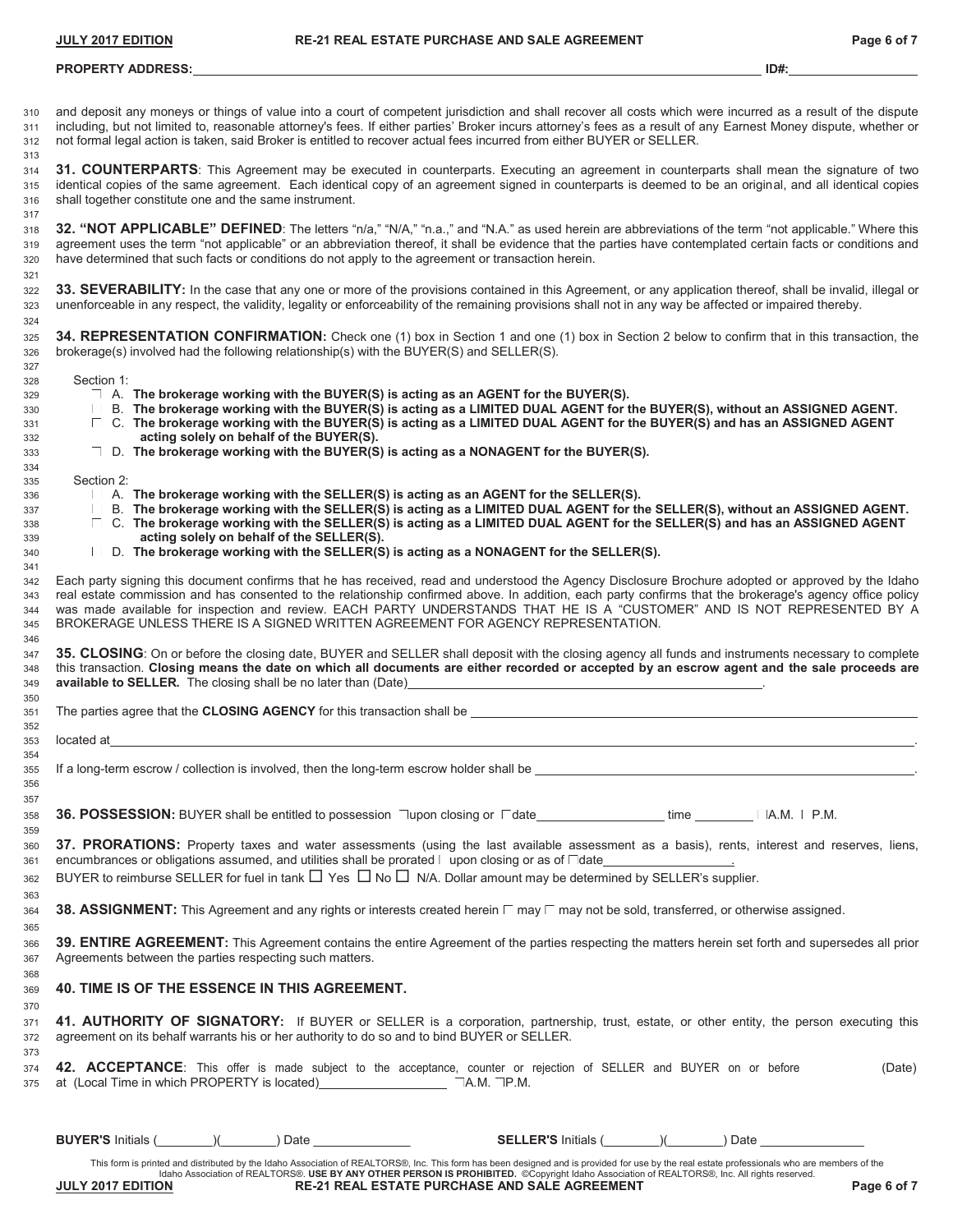and deposit any moneys or things of value into a court of competent jurisdiction and shall recover all costs which were incurred as a result of the dispute

### **PROPERTY ADDRESS: ID#:**

| 311<br>312<br>313                             | including, but not limited to, reasonable attorney's fees. If either parties' Broker incurs attorney's fees as a result of any Earnest Money dispute, whether or<br>not formal legal action is taken, said Broker is entitled to recover actual fees incurred from either BUYER or SELLER.                                                                                                                                                                                                                                     |
|-----------------------------------------------|--------------------------------------------------------------------------------------------------------------------------------------------------------------------------------------------------------------------------------------------------------------------------------------------------------------------------------------------------------------------------------------------------------------------------------------------------------------------------------------------------------------------------------|
| 314<br>315<br>316<br>317                      | 31. COUNTERPARTS: This Agreement may be executed in counterparts. Executing an agreement in counterparts shall mean the signature of two<br>identical copies of the same agreement. Each identical copy of an agreement signed in counterparts is deemed to be an original, and all identical copies<br>shall together constitute one and the same instrument.                                                                                                                                                                 |
| 318<br>319<br>320<br>321                      | 32. "NOT APPLICABLE" DEFINED: The letters "n/a," "N/A," "n.a.," and "N.A." as used herein are abbreviations of the term "not applicable." Where this<br>agreement uses the term "not applicable" or an abbreviation thereof, it shall be evidence that the parties have contemplated certain facts or conditions and<br>have determined that such facts or conditions do not apply to the agreement or transaction herein.                                                                                                     |
| 322<br>323<br>324                             | 33. SEVERABILITY: In the case that any one or more of the provisions contained in this Agreement, or any application thereof, shall be invalid, illegal or<br>unenforceable in any respect, the validity, legality or enforceability of the remaining provisions shall not in any way be affected or impaired thereby.                                                                                                                                                                                                         |
| 325<br>326<br>327                             | 34. REPRESENTATION CONFIRMATION: Check one (1) box in Section 1 and one (1) box in Section 2 below to confirm that in this transaction, the<br>brokerage(s) involved had the following relationship(s) with the BUYER(S) and SELLER(S).                                                                                                                                                                                                                                                                                        |
| 328<br>329<br>330<br>331<br>332               | Section 1:<br>$\Box$ A. The brokerage working with the BUYER(S) is acting as an AGENT for the BUYER(S).<br>□ B. The brokerage working with the BUYER(S) is acting as a LIMITED DUAL AGENT for the BUYER(S), without an ASSIGNED AGENT.<br>$\perp$ C. The brokerage working with the BUYER(S) is acting as a LIMITED DUAL AGENT for the BUYER(S) and has an ASSIGNED AGENT<br>acting solely on behalf of the BUYER(S).                                                                                                          |
| 333<br>334                                    | $\Box$ D. The brokerage working with the BUYER(S) is acting as a NONAGENT for the BUYER(S).                                                                                                                                                                                                                                                                                                                                                                                                                                    |
| 335<br>336<br>337<br>338<br>339<br>340<br>341 | Section 2:<br>$\Box$ A. The brokerage working with the SELLER(S) is acting as an AGENT for the SELLER(S).<br>□ B. The brokerage working with the SELLER(S) is acting as a LIMITED DUAL AGENT for the SELLER(S), without an ASSIGNED AGENT.<br>$\Box$ C. The brokerage working with the SELLER(S) is acting as a LIMITED DUAL AGENT for the SELLER(S) and has an ASSIGNED AGENT<br>acting solely on behalf of the SELLER(S).<br>$\Box$ D. The brokerage working with the SELLER(S) is acting as a NONAGENT for the SELLER(S).   |
| 342<br>343<br>344<br>345<br>346               | Each party signing this document confirms that he has received, read and understood the Agency Disclosure Brochure adopted or approved by the Idaho<br>real estate commission and has consented to the relationship confirmed above. In addition, each party confirms that the brokerage's agency office policy<br>was made available for inspection and review. EACH PARTY UNDERSTANDS THAT HE IS A "CUSTOMER" AND IS NOT REPRESENTED BY A<br>BROKERAGE UNLESS THERE IS A SIGNED WRITTEN AGREEMENT FOR AGENCY REPRESENTATION. |
| 347<br>348<br>349                             | 35. CLOSING: On or before the closing date, BUYER and SELLER shall deposit with the closing agency all funds and instruments necessary to complete<br>this transaction. Closing means the date on which all documents are either recorded or accepted by an escrow agent and the sale proceeds are<br>available to SELLER. The closing shall be no later than (Date)<br><u> 1989 - Johann Barn, fransk politik (f. 1989)</u>                                                                                                   |
| 350<br>351                                    | The parties agree that the CLOSING AGENCY for this transaction shall be <b>contract the contract of the contract of the contract of the contract of the contract of the contract of the contract of the contract of the contract</b>                                                                                                                                                                                                                                                                                           |
| 352<br>353                                    | located at <u>the companion of the companion of the companion of the companion of the companion of the companion of</u>                                                                                                                                                                                                                                                                                                                                                                                                        |
| 354<br>355<br>356<br>357                      |                                                                                                                                                                                                                                                                                                                                                                                                                                                                                                                                |
| 358<br>359                                    | 36. POSSESSION: BUYER shall be entitled to possession nupon closing or ndate<br>$\neg A.M. \nightharpoonup P.M.$<br>time                                                                                                                                                                                                                                                                                                                                                                                                       |
| 360<br>361<br>362                             | 37. PRORATIONS: Property taxes and water assessments (using the last available assessment as a basis), rents, interest and reserves, liens,<br>encumbrances or obligations assumed, and utilities shall be prorated ∟upon closing or as of $\Box$ date_<br>BUYER to reimburse SELLER for fuel in tank $\Box$ Yes $\Box$ No $\Box$ N/A. Dollar amount may be determined by SELLER's supplier.                                                                                                                                   |
| 363<br>364<br>365                             | 38. ASSIGNMENT: This Agreement and any rights or interests created herein $\sqcap$ may $\sqcap$ may not be sold, transferred, or otherwise assigned.                                                                                                                                                                                                                                                                                                                                                                           |
| 366<br>367<br>368                             | 39. ENTIRE AGREEMENT: This Agreement contains the entire Agreement of the parties respecting the matters herein set forth and supersedes all prior<br>Agreements between the parties respecting such matters.                                                                                                                                                                                                                                                                                                                  |
| 369<br>370                                    | <b>40. TIME IS OF THE ESSENCE IN THIS AGREEMENT.</b>                                                                                                                                                                                                                                                                                                                                                                                                                                                                           |
| 371<br>372<br>373                             | 41. AUTHORITY OF SIGNATORY: If BUYER or SELLER is a corporation, partnership, trust, estate, or other entity, the person executing this<br>agreement on its behalf warrants his or her authority to do so and to bind BUYER or SELLER.                                                                                                                                                                                                                                                                                         |
| 374<br>375                                    | 42. ACCEPTANCE: This offer is made subject to the acceptance, counter or rejection of SELLER and BUYER on or before<br>(Date)                                                                                                                                                                                                                                                                                                                                                                                                  |

This form is printed and distributed by the Idaho Association of REALTORS®, Inc. This form has been designed and is provided for use by the real estate professionals who are members of the<br>Idaho Association of REALTORS®.

**BUYER'S** Initials (\_\_\_\_\_\_\_\_)(\_\_\_\_\_\_\_\_) Date \_\_\_\_\_\_\_\_\_\_\_\_\_\_ **SELLER'S** Initials (\_\_\_\_\_\_\_\_)(\_\_\_\_\_\_\_\_) Date \_\_\_\_\_\_\_\_\_\_\_\_\_\_\_